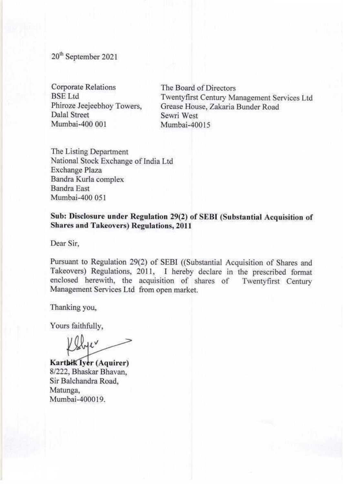20<sup>th</sup> September 2021

Corporate Relations **BSE** Ltd Phiroze Jeejeebhoy Towers, Dalal Street Mumbai-400 001

The Board of Directors Twentyfirst Century Management Services Ltd Grease House, Zakaria Bunder Road Sewri West Mumbai-40015

The Listing Department National Stock Exchange of India Ltd Exchange Plaza Bandra Kurla complex Bandra East Mumbai-400 051

**Sub: Disclosure under Regulation 29(2) of SEBI (Substantial Acquisition of Shares and Takeovers) Regulations, 2011** 

Dear Sir,

Pursuant to Regulation 29(2) of SEBI ((Substantial Acquisition of Shares and Takeovers) Regulations, 2011. I hereby declare in the prescribed format enclosed herewith, the acquisition of shares of Twentyfirst Century Management Services Ltd from open market.

Thanking you,

Yours faithfully,

llyer

**Karthik Iyer (Aquirer)** 8/222, Bhaskar Bhavan, Sir Balchandra Road, Matunga, Mumbai-400019.